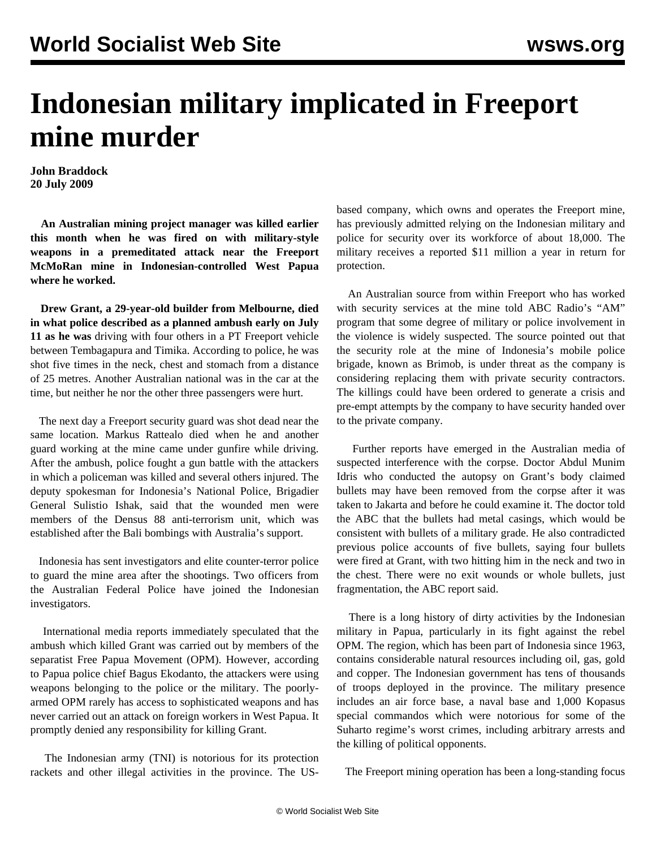## **Indonesian military implicated in Freeport mine murder**

**John Braddock 20 July 2009**

 **An Australian mining project manager was killed earlier this month when he was fired on with military-style weapons in a premeditated attack near the Freeport McMoRan mine in Indonesian-controlled West Papua where he worked.**

 **Drew Grant, a 29-year-old builder from Melbourne, died in what police described as a planned ambush early on July 11 as he was** driving with four others in a PT Freeport vehicle between Tembagapura and Timika. According to police, he was shot five times in the neck, chest and stomach from a distance of 25 metres. Another Australian national was in the car at the time, but neither he nor the other three passengers were hurt.

 The next day a Freeport security guard was shot dead near the same location. Markus Rattealo died when he and another guard working at the mine came under gunfire while driving. After the ambush, police fought a gun battle with the attackers in which a policeman was killed and several others injured. The deputy spokesman for Indonesia's National Police, Brigadier General Sulistio Ishak, said that the wounded men were members of the Densus 88 anti-terrorism unit, which was established after the Bali bombings with Australia's support.

 Indonesia has sent investigators and elite counter-terror police to guard the mine area after the shootings. Two officers from the Australian Federal Police have joined the Indonesian investigators.

 International media reports immediately speculated that the ambush which killed Grant was carried out by members of the separatist Free Papua Movement (OPM). However, according to Papua police chief Bagus Ekodanto, the attackers were using weapons belonging to the police or the military. The poorlyarmed OPM rarely has access to sophisticated weapons and has never carried out an attack on foreign workers in West Papua. It promptly denied any responsibility for killing Grant.

 The Indonesian army (TNI) is notorious for its protection rackets and other illegal activities in the province. The US-

based company, which owns and operates the Freeport mine, has previously admitted relying on the Indonesian military and police for security over its workforce of about 18,000. The military receives a reported \$11 million a year in return for protection.

 An Australian source from within Freeport who has worked with security services at the mine told ABC Radio's "AM" program that some degree of military or police involvement in the violence is widely suspected. The source pointed out that the security role at the mine of Indonesia's mobile police brigade, known as Brimob, is under threat as the company is considering replacing them with private security contractors. The killings could have been ordered to generate a crisis and pre-empt attempts by the company to have security handed over to the private company.

 Further reports have emerged in the Australian media of suspected interference with the corpse. Doctor Abdul Munim Idris who conducted the autopsy on Grant's body claimed bullets may have been removed from the corpse after it was taken to Jakarta and before he could examine it. The doctor told the ABC that the bullets had metal casings, which would be consistent with bullets of a military grade. He also contradicted previous police accounts of five bullets, saying four bullets were fired at Grant, with two hitting him in the neck and two in the chest. There were no exit wounds or whole bullets, just fragmentation, the ABC report said.

 There is a long history of dirty activities by the Indonesian military in Papua, particularly in its fight against the rebel OPM. The region, which has been part of Indonesia since 1963, contains considerable natural resources including oil, gas, gold and copper. The Indonesian government has tens of thousands of troops deployed in the province. The military presence includes an air force base, a naval base and 1,000 Kopasus special commandos which were notorious for some of the Suharto regime's worst crimes, including arbitrary arrests and the killing of political opponents.

The Freeport mining operation has been a long-standing focus